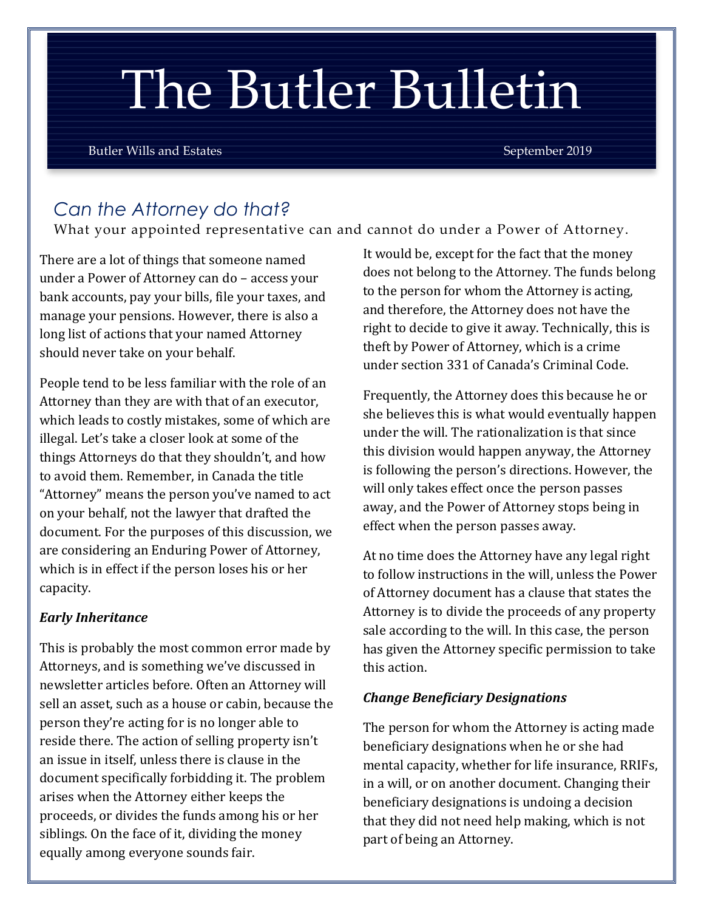# The Butler Bulletin

Butler Wills and Estates September 2019

# *Can the Attorney do that?*

What your appointed representative can and cannot do under a Power of Attorney.

There are a lot of things that someone named under a Power of Attorney can do – access your bank accounts, pay your bills, file your taxes, and manage your pensions. However, there is also a long list of actions that your named Attorney should never take on your behalf.

People tend to be less familiar with the role of an Attorney than they are with that of an executor, which leads to costly mistakes, some of which are illegal. Let's take a closer look at some of the things Attorneys do that they shouldn't, and how to avoid them. Remember, in Canada the title "Attorney" means the person you've named to act on your behalf, not the lawyer that drafted the document. For the purposes of this discussion, we are considering an Enduring Power of Attorney, which is in effect if the person loses his or her capacity.

#### *Early Inheritance*

This is probably the most common error made by Attorneys, and is something we've discussed in newsletter articles before. Often an Attorney will sell an asset, such as a house or cabin, because the person they're acting for is no longer able to reside there. The action of selling property isn't an issue in itself, unless there is clause in the document specifically forbidding it. The problem arises when the Attorney either keeps the proceeds, or divides the funds among his or her siblings. On the face of it, dividing the money equally among everyone sounds fair.

It would be, except for the fact that the money does not belong to the Attorney. The funds belong to the person for whom the Attorney is acting, and therefore, the Attorney does not have the right to decide to give it away. Technically, this is theft by Power of Attorney, which is a crime under section 331 of Canada's Criminal Code.

Frequently, the Attorney does this because he or she believes this is what would eventually happen under the will. The rationalization is that since this division would happen anyway, the Attorney is following the person's directions. However, the will only takes effect once the person passes away, and the Power of Attorney stops being in effect when the person passes away.

At no time does the Attorney have any legal right to follow instructions in the will, unless the Power of Attorney document has a clause that states the Attorney is to divide the proceeds of any property sale according to the will. In this case, the person has given the Attorney specific permission to take this action.

#### *Change Beneficiary Designations*

The person for whom the Attorney is acting made beneficiary designations when he or she had mental capacity, whether for life insurance, RRIFs, in a will, or on another document. Changing their beneficiary designations is undoing a decision that they did not need help making, which is not part of being an Attorney.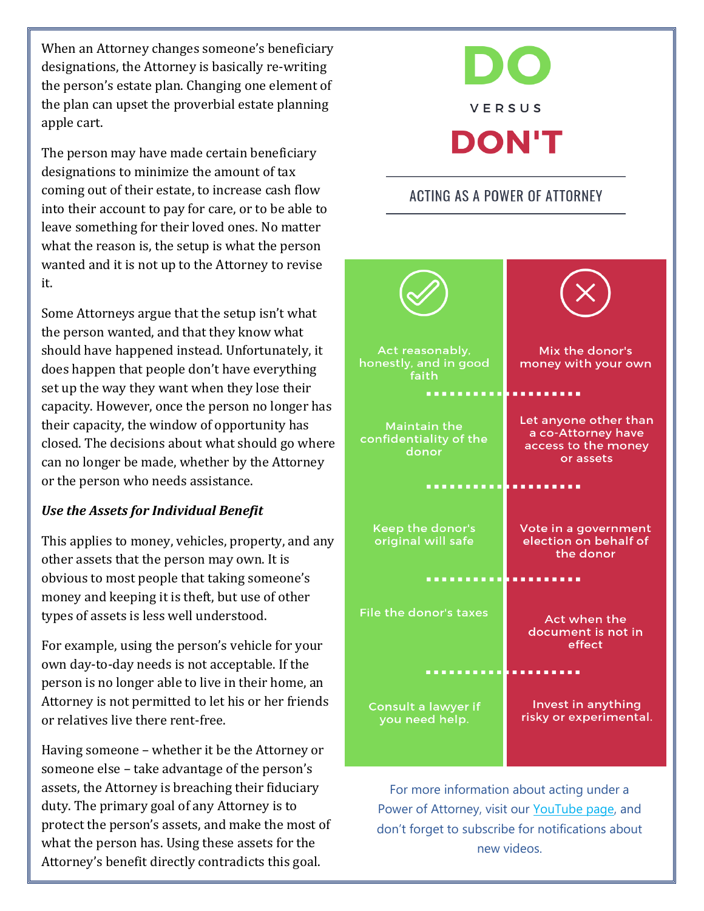When an Attorney changes someone's beneficiary designations, the Attorney is basically re-writing the person's estate plan. Changing one element of the plan can upset the proverbial estate planning apple cart.

The person may have made certain beneficiary designations to minimize the amount of tax coming out of their estate, to increase cash flow into their account to pay for care, or to be able to leave something for their loved ones. No matter what the reason is, the setup is what the person wanted and it is not up to the Attorney to revise it.

Some Attorneys argue that the setup isn't what the person wanted, and that they know what should have happened instead. Unfortunately, it does happen that people don't have everything set up the way they want when they lose their capacity. However, once the person no longer has their capacity, the window of opportunity has closed. The decisions about what should go where can no longer be made, whether by the Attorney or the person who needs assistance.

#### *Use the Assets for Individual Benefit*

This applies to money, vehicles, property, and any other assets that the person may own. It is obvious to most people that taking someone's money and keeping it is theft, but use of other types of assets is less well understood.

For example, using the person's vehicle for your own day-to-day needs is not acceptable. If the person is no longer able to live in their home, an Attorney is not permitted to let his or her friends or relatives live there rent-free.

Having someone – whether it be the Attorney or someone else – take advantage of the person's assets, the Attorney is breaching their fiduciary duty. The primary goal of any Attorney is to protect the person's assets, and make the most of what the person has. Using these assets for the Attorney's benefit directly contradicts this goal.

# VERSUS **DON'T**

### **ACTING AS A POWER OF ATTORNEY**



For more information about acting under a Power of Attorney, visit our [YouTube page,](https://www.youtube.com/channel/UCREXCXMaFbNoLag0I62Ttlg) and don't forget to subscribe for notifications about new videos.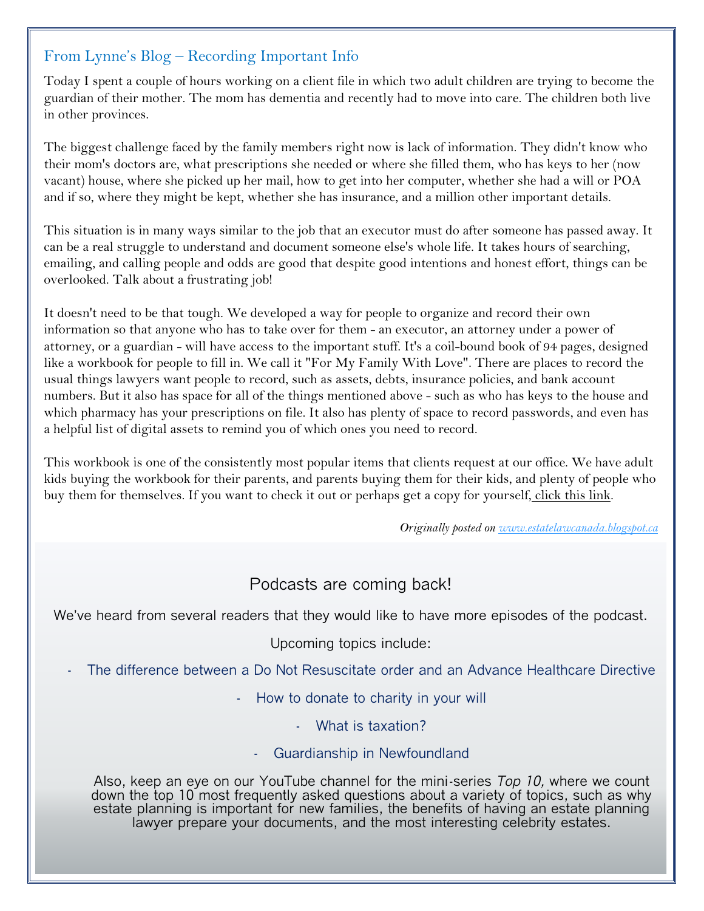#### From Lynne's Blog – Recording Important Info

Today I spent a couple of hours working on a client file in which two adult children are trying to become the guardian of their mother. The mom has dementia and recently had to move into care. The children both live in other provinces.

The biggest challenge faced by the family members right now is lack of information. They didn't know who their mom's doctors are, what prescriptions she needed or where she filled them, who has keys to her (now vacant) house, where she picked up her mail, how to get into her computer, whether she had a will or POA and if so, where they might be kept, whether she has insurance, and a million other important details.

This situation is in many ways similar to the job that an executor must do after someone has passed away. It can be a real struggle to understand and document someone else's whole life. It takes hours of searching, emailing, and calling people and odds are good that despite good intentions and honest effort, things can be overlooked. Talk about a frustrating job!

It doesn't need to be that tough. We developed a way for people to organize and record their own information so that anyone who has to take over for them - an executor, an attorney under a power of attorney, or a guardian - will have access to the important stuff. It's a coil-bound book of 94 pages, designed like a workbook for people to fill in. We call it "For My Family With Love". There are places to record the usual things lawyers want people to record, such as assets, debts, insurance policies, and bank account numbers. But it also has space for all of the things mentioned above - such as who has keys to the house and which pharmacy has your prescriptions on file. It also has plenty of space to record passwords, and even has a helpful list of digital assets to remind you of which ones you need to record.

This workbook is one of the consistently most popular items that clients request at our office. We have adult kids buying the workbook for their parents, and parents buying them for their kids, and plenty of people who buy them for themselves. If you want to check it out or perhaps get a copy for yourself, [click this link.](http://www.lulu.com/shop/lynne-butler-ba-llb-tep/for-my-family-with-love/paperback/product-21745384.html)

*Originally posted on [www.estatelawcanada.blogspot.ca](http://www.estatelawcanada.blogspot.ca/)*

### Podcasts are coming back!

We've heard from several readers that they would like to have more episodes of the podcast.

Upcoming topics include:

- The difference between a Do Not Resuscitate order and an Advance Healthcare Directive
	- How to donate to charity in your will
		- What is taxation?
		- Guardianship in Newfoundland

Also, keep an eye on our YouTube channel for the mini-series *Top 10,* where we count down the top 10 most frequently asked questions about a variety of topics, such as why estate planning is important for new families, the benefits of having an estate planning lawyer prepare your documents, and the most interesting celebrity estates.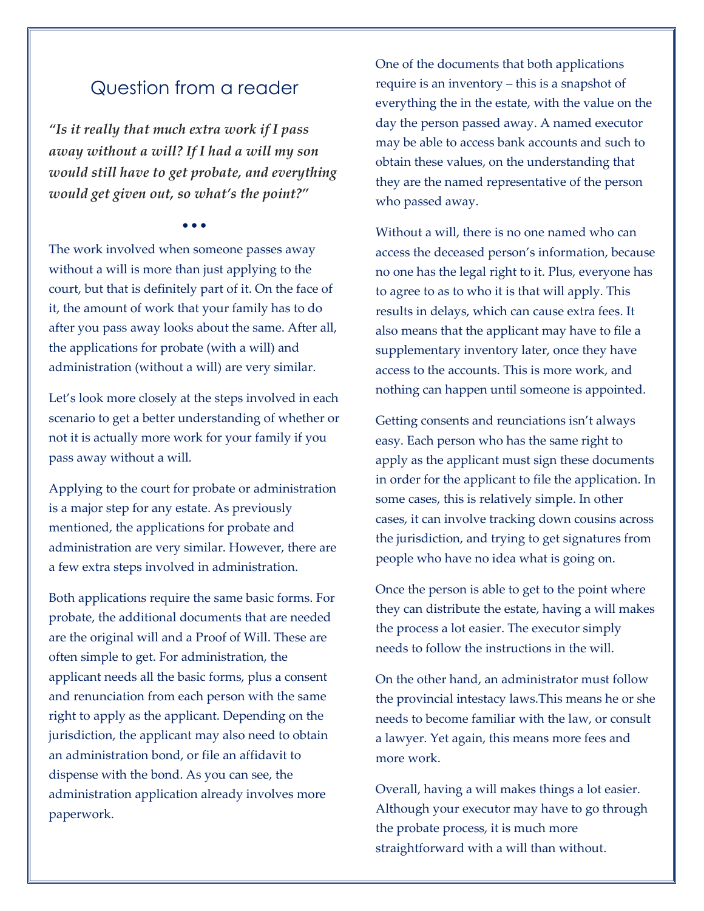## Question from a reader

*"Is it really that much extra work if I pass away without a will? If I had a will my son would still have to get probate, and everything would get given out, so what's the point?"*

• • •

The work involved when someone passes away without a will is more than just applying to the court, but that is definitely part of it. On the face of it, the amount of work that your family has to do after you pass away looks about the same. After all, the applications for probate (with a will) and administration (without a will) are very similar.

Let's look more closely at the steps involved in each scenario to get a better understanding of whether or not it is actually more work for your family if you pass away without a will.

Applying to the court for probate or administration is a major step for any estate. As previously mentioned, the applications for probate and administration are very similar. However, there are a few extra steps involved in administration.

Both applications require the same basic forms. For probate, the additional documents that are needed are the original will and a Proof of Will. These are often simple to get. For administration, the applicant needs all the basic forms, plus a consent and renunciation from each person with the same right to apply as the applicant. Depending on the jurisdiction, the applicant may also need to obtain an administration bond, or file an affidavit to dispense with the bond. As you can see, the administration application already involves more paperwork.

One of the documents that both applications require is an inventory – this is a snapshot of everything the in the estate, with the value on the day the person passed away. A named executor may be able to access bank accounts and such to obtain these values, on the understanding that they are the named representative of the person who passed away.

Without a will, there is no one named who can access the deceased person's information, because no one has the legal right to it. Plus, everyone has to agree to as to who it is that will apply. This results in delays, which can cause extra fees. It also means that the applicant may have to file a supplementary inventory later, once they have access to the accounts. This is more work, and nothing can happen until someone is appointed.

Getting consents and reunciations isn't always easy. Each person who has the same right to apply as the applicant must sign these documents in order for the applicant to file the application. In some cases, this is relatively simple. In other cases, it can involve tracking down cousins across the jurisdiction, and trying to get signatures from people who have no idea what is going on.

Once the person is able to get to the point where they can distribute the estate, having a will makes the process a lot easier. The executor simply needs to follow the instructions in the will.

On the other hand, an administrator must follow the provincial intestacy laws.This means he or she needs to become familiar with the law, or consult a lawyer. Yet again, this means more fees and more work.

Overall, having a will makes things a lot easier. Although your executor may have to go through the probate process, it is much more straightforward with a will than without.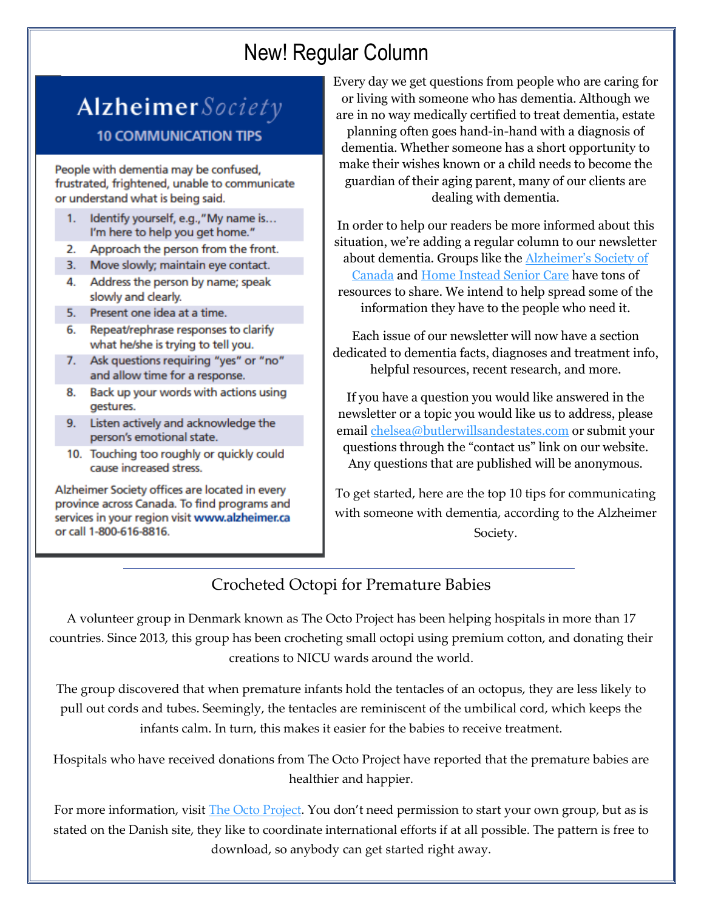# New! Regular Column

# Alzheimer Society **10 COMMUNICATION TIPS**

People with dementia may be confused, frustrated, frightened, unable to communicate or understand what is being said.

- Identify yourself, e.g.,"My name is...  $1.$ I'm here to help you get home."
- 2. Approach the person from the front.
- 3. Move slowly; maintain eye contact.
- 4. Address the person by name; speak slowly and clearly.
- 5. Present one idea at a time.
- 6. Repeat/rephrase responses to clarify what he/she is trying to tell you.
- 7. Ask questions requiring "yes" or "no" and allow time for a response.
- 8. Back up your words with actions using gestures.
- 9. Listen actively and acknowledge the person's emotional state.
- 10. Touching too roughly or quickly could cause increased stress.

Alzheimer Society offices are located in every province across Canada. To find programs and services in your region visit www.alzheimer.ca or call 1-800-616-8816.

Every day we get questions from people who are caring for or living with someone who has dementia. Although we are in no way medically certified to treat dementia, estate planning often goes hand-in-hand with a diagnosis of dementia. Whether someone has a short opportunity to make their wishes known or a child needs to become the guardian of their aging parent, many of our clients are dealing with dementia.

In order to help our readers be more informed about this situation, we're adding a regular column to our newsletter about dementia. Groups like the [Alzheimer's Society of](https://alzheimer.ca/en/Home)  [Canada](https://alzheimer.ca/en/Home) and [Home Instead Senior Care](https://www.homeinstead.com/) have tons of resources to share. We intend to help spread some of the information they have to the people who need it.

Each issue of our newsletter will now have a section dedicated to dementia facts, diagnoses and treatment info, helpful resources, recent research, and more.

If you have a question you would like answered in the newsletter or a topic you would like us to address, please email [chelsea@butlerwillsandestates.com](mailto:chelsea@butlerwillsandestates.com) or submit your questions through the "contact us" link on our website. Any questions that are published will be anonymous.

To get started, here are the top 10 tips for communicating with someone with dementia, according to the Alzheimer Society.

## Crocheted Octopi for Premature Babies

A volunteer group in Denmark known as The Octo Project has been helping hospitals in more than 17 countries. Since 2013, this group has been crocheting small octopi using premium cotton, and donating their creations to NICU wards around the world.

The group discovered that when premature infants hold the tentacles of an octopus, they are less likely to pull out cords and tubes. Seemingly, the tentacles are reminiscent of the umbilical cord, which keeps the infants calm. In turn, this makes it easier for the babies to receive treatment.

Hospitals who have received donations from The Octo Project have reported that the premature babies are healthier and happier.

For more information, visit [The Octo Project](https://www.spruttegruppen.dk/danish-octo-project-english/). You don't need permission to start your own group, but as is stated on the Danish site, they like to coordinate international efforts if at all possible. The pattern is free to download, so anybody can get started right away.